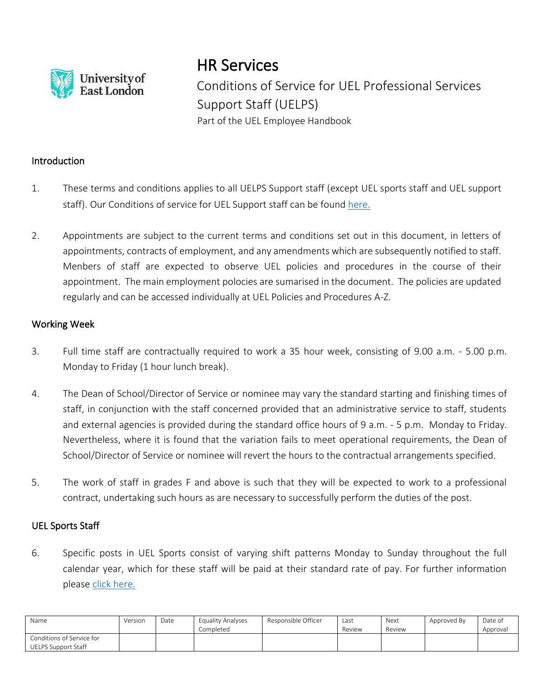

# HR Services

Conditions of Service for UEL Professional Services Support Staff (UELPS) Part of the UEL Employee Handbook

### Introduction

- 1. These terms and conditions applies to all UELPS Support staff (except UEL sports staff and UEL support staff). Our Conditions of service for UEL Support staff can be found [here](https://uelac.sharepoint.com/:b:/r/sites/hr/Shared%20Documents/Policies%202020/Conditions%20of%20Service%20for%20Support%20Staff.pdf?csf=1&web=1&e=YUToie).
- 2. Appointments are subject to the current terms and conditions set out in this document, in letters of appointments, contracts of employment, and any amendments which are subsequently notified to staff. Menbers of staff are expected to observe UEL policies and procedures in the course of their appointment. The main employment polocies are sumarised in the document. The policies are updated regularly and can be accessed individually at UEL Policies and Procedures A-Z.

### Working Week

- 3. Full time staff are contractually required to work a 35 hour week, consisting of 9.00 a.m. 5.00 p.m. Monday to Friday (1 hour lunch break).
- 4. The Dean of School/Director of Service or nominee may vary the standard starting and finishing times of staff, in conjunction with the staff concerned provided that an administrative service to staff, students and external agencies is provided during the standard office hours of 9 a.m. - 5 p.m. Monday to Friday. Nevertheless, where it is found that the variation fails to meet operational requirements, the Dean of School/Director of Service or nominee will revert the hours to the contractual arrangements specified.
- 5. The work of staff in grades F and above is such that they will be expected to work to a professional contract, undertaking such hours as are necessary to successfully perform the duties of the post.

### UEL Sports Staff

6. Specific posts in UEL Sports consist of varying shift patterns Monday to Sunday throughout the full calendar year, which for these staff will be paid at their standard rate of pay. For further information please click [here.](https://uelac.sharepoint.com/:b:/r/sites/hr/Shared%20Documents/Policies%202020/Conditions%20of%20Service%20for%20UEL%20Sports%20Staff.pdf?csf=1&web=1&e=7WlylN)

| Name                                             | Version | Date | Equality Analyses<br>Completed | Responsible Officer | Last<br>Review | Next<br>Review | Approved By | Date of<br>Approval |
|--------------------------------------------------|---------|------|--------------------------------|---------------------|----------------|----------------|-------------|---------------------|
| Conditions of Service for<br>UELPS Support Staff |         |      |                                |                     |                |                |             |                     |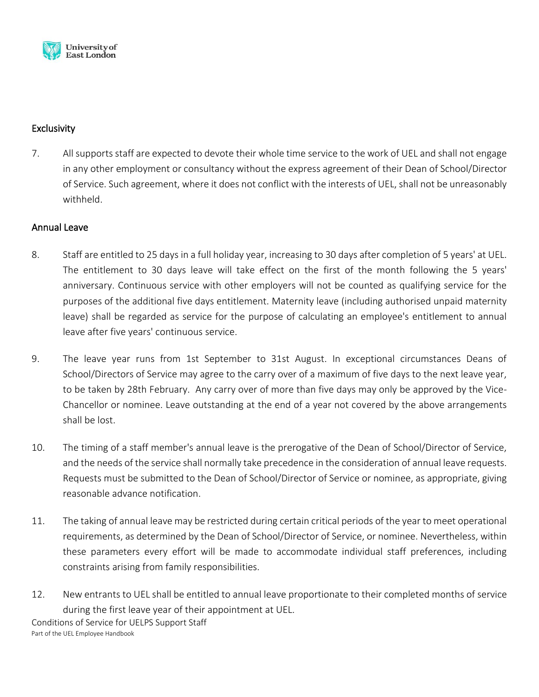

# **Exclusivity**

7. All supports staff are expected to devote their whole time service to the work of UEL and shall not engage in any other employment or consultancy without the express agreement of their Dean of School/Director of Service. Such agreement, where it does not conflict with the interests of UEL, shall not be unreasonably withheld.

# Annual Leave

- 8. Staff are entitled to 25 days in a full holiday year, increasing to 30 days after completion of 5 years' at UEL. The entitlement to 30 days leave will take effect on the first of the month following the 5 years' anniversary. Continuous service with other employers will not be counted as qualifying service for the purposes of the additional five days entitlement. Maternity leave (including authorised unpaid maternity leave) shall be regarded as service for the purpose of calculating an employee's entitlement to annual leave after five years' continuous service.
- 9. The leave year runs from 1st September to 31st August. In exceptional circumstances Deans of School/Directors of Service may agree to the carry over of a maximum of five days to the next leave year, to be taken by 28th February. Any carry over of more than five days may only be approved by the Vice-Chancellor or nominee. Leave outstanding at the end of a year not covered by the above arrangements shall be lost.
- 10. The timing of a staff member's annual leave is the prerogative of the Dean of School/Director of Service, and the needs of the service shall normally take precedence in the consideration of annual leave requests. Requests must be submitted to the Dean of School/Director of Service or nominee, as appropriate, giving reasonable advance notification.
- 11. The taking of annual leave may be restricted during certain critical periods of the year to meet operational requirements, as determined by the Dean of School/Director of Service, or nominee. Nevertheless, within these parameters every effort will be made to accommodate individual staff preferences, including constraints arising from family responsibilities.
- 12. New entrants to UEL shall be entitled to annual leave proportionate to their completed months of service during the first leave year of their appointment at UEL.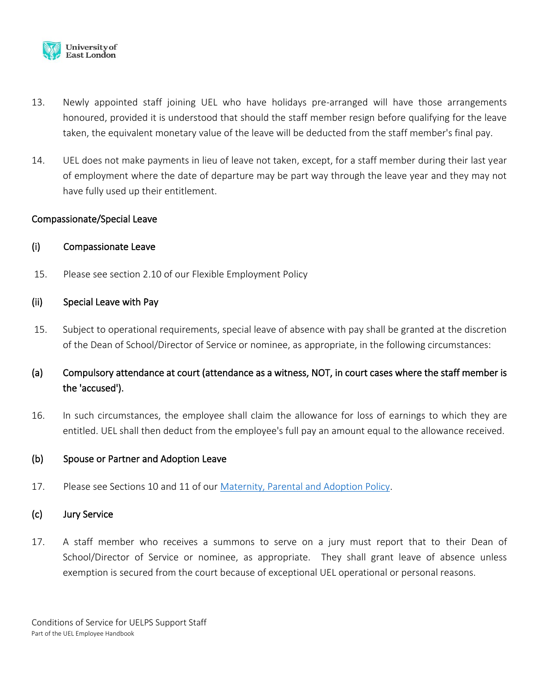

- 13. Newly appointed staff joining UEL who have holidays pre-arranged will have those arrangements honoured, provided it is understood that should the staff member resign before qualifying for the leave taken, the equivalent monetary value of the leave will be deducted from the staff member's final pay.
- 14. UEL does not make payments in lieu of leave not taken, except, for a staff member during their last year of employment where the date of departure may be part way through the leave year and they may not have fully used up their entitlement.

### Compassionate/Special Leave

### (i) Compassionate Leave

15. Please see section 2.10 of our Flexible Employment Policy

### (ii) Special Leave with Pay

15. Subject to operational requirements, special leave of absence with pay shall be granted at the discretion of the Dean of School/Director of Service or nominee, as appropriate, in the following circumstances:

# (a) Compulsory attendance at court (attendance as a witness, NOT, in court cases where the staff member is the 'accused').

16. In such circumstances, the employee shall claim the allowance for loss of earnings to which they are entitled. UEL shall then deduct from the employee's full pay an amount equal to the allowance received.

### (b) Spouse or Partner and Adoption Leave

17. Please see Sections 10 and 11 of our [Maternity, Parental and Adoption Policy.](https://uelac.sharepoint.com/:b:/r/sites/hr/Shared%20Documents/Policies%202020/Maternity,%20Spouse%20or%20Partner%20and%20Adoption%20Leave%20Policy.pdf?csf=1&web=1&e=A2wRjo)

### (c) Jury Service

17. A staff member who receives a summons to serve on a jury must report that to their Dean of School/Director of Service or nominee, as appropriate. They shall grant leave of absence unless exemption is secured from the court because of exceptional UEL operational or personal reasons.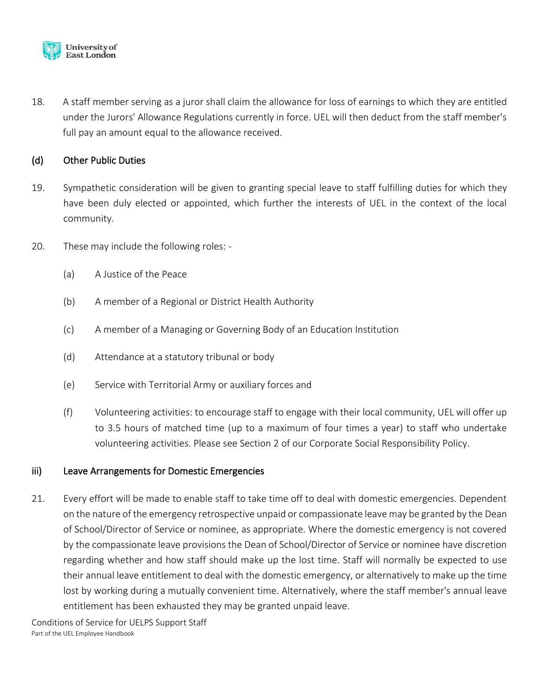

18. A staff member serving as a juror shall claim the allowance for loss of earnings to which they are entitled under the Jurors' Allowance Regulations currently in force. UEL will then deduct from the staff member's full pay an amount equal to the allowance received.

# (d) Other Public Duties

- 19. Sympathetic consideration will be given to granting special leave to staff fulfilling duties for which they have been duly elected or appointed, which further the interests of UEL in the context of the local community.
- 20. These may include the following roles:
	- (a) A Justice of the Peace
	- (b) A member of a Regional or District Health Authority
	- (c) A member of a Managing or Governing Body of an Education Institution
	- (d) Attendance at a statutory tribunal or body
	- (e) Service with Territorial Army or auxiliary forces and
	- (f) Volunteering activities: to encourage staff to engage with their local community, UEL will offer up to 3.5 hours of matched time (up to a maximum of four times a year) to staff who undertake volunteering activities. Please see Section 2 of our Corporate Social Responsibility Policy.

### iii) Leave Arrangements for Domestic Emergencies

21. Every effort will be made to enable staff to take time off to deal with domestic emergencies. Dependent on the nature of the emergency retrospective unpaid or compassionate leave may be granted by the Dean of School/Director of Service or nominee, as appropriate. Where the domestic emergency is not covered by the compassionate leave provisions the Dean of School/Director of Service or nominee have discretion regarding whether and how staff should make up the lost time. Staff will normally be expected to use their annual leave entitlement to deal with the domestic emergency, or alternatively to make up the time lost by working during a mutually convenient time. Alternatively, where the staff member's annual leave entitlement has been exhausted they may be granted unpaid leave.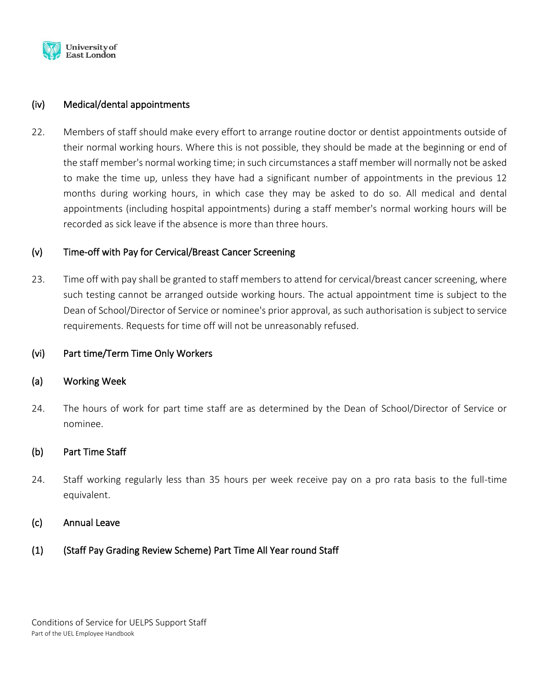

### (iv) Medical/dental appointments

22. Members of staff should make every effort to arrange routine doctor or dentist appointments outside of their normal working hours. Where this is not possible, they should be made at the beginning or end of the staff member's normal working time; in such circumstances a staff member will normally not be asked to make the time up, unless they have had a significant number of appointments in the previous 12 months during working hours, in which case they may be asked to do so. All medical and dental appointments (including hospital appointments) during a staff member's normal working hours will be recorded as sick leave if the absence is more than three hours.

### (v) Time-off with Pay for Cervical/Breast Cancer Screening

23. Time off with pay shall be granted to staff members to attend for cervical/breast cancer screening, where such testing cannot be arranged outside working hours. The actual appointment time is subject to the Dean of School/Director of Service or nominee's prior approval, as such authorisation is subject to service requirements. Requests for time off will not be unreasonably refused.

### (vi) Part time/Term Time Only Workers

### (a) Working Week

24. The hours of work for part time staff are as determined by the Dean of School/Director of Service or nominee.

### (b) Part Time Staff

24. Staff working regularly less than 35 hours per week receive pay on a pro rata basis to the full-time equivalent.

### (c) Annual Leave

(1) (Staff Pay Grading Review Scheme) Part Time All Year round Staff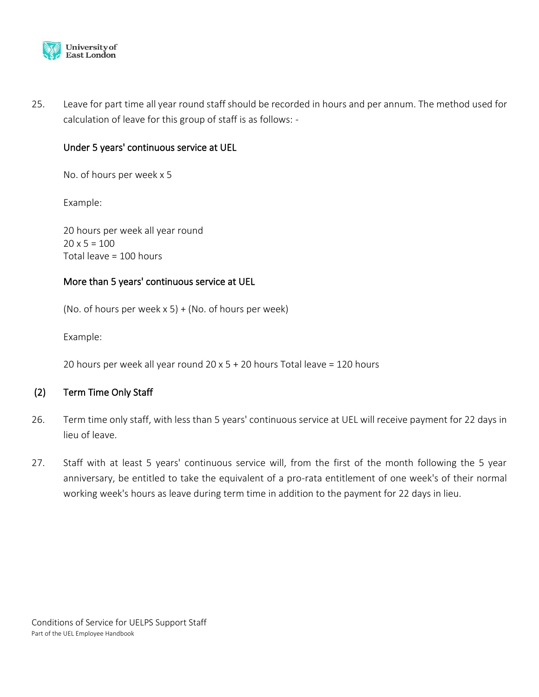

25. Leave for part time all year round staff should be recorded in hours and per annum. The method used for calculation of leave for this group of staff is as follows: -

### Under 5 years' continuous service at UEL

No. of hours per week x 5

Example:

20 hours per week all year round  $20 \times 5 = 100$ Total leave = 100 hours

# More than 5 years' continuous service at UEL

(No. of hours per week  $x 5$ ) + (No. of hours per week)

Example:

20 hours per week all year round 20 x 5 + 20 hours Total leave = 120 hours

# (2) Term Time Only Staff

- 26. Term time only staff, with less than 5 years' continuous service at UEL will receive payment for 22 days in lieu of leave.
- 27. Staff with at least 5 years' continuous service will, from the first of the month following the 5 year anniversary, be entitled to take the equivalent of a pro-rata entitlement of one week's of their normal working week's hours as leave during term time in addition to the payment for 22 days in lieu.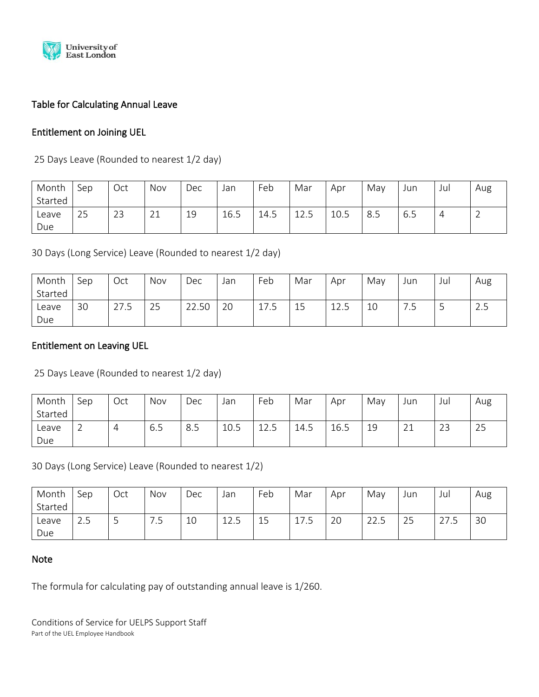

# Table for Calculating Annual Leave

# Entitlement on Joining UEL

25 Days Leave (Rounded to nearest 1/2 day)

| Month   | Sep | Oct | Nov            | Dec | Jan  | Feb  | Mar             | Apr  | May | Jun | Jul | Aug |
|---------|-----|-----|----------------|-----|------|------|-----------------|------|-----|-----|-----|-----|
| Started |     |     |                |     |      |      |                 |      |     |     |     |     |
| Leave   | 25  | 23  | $\sim$ 1<br>∠⊥ | 19  | 16.5 | 14.5 | $\bigcap$<br>ᆂᄼ | 10.5 | 8.5 | 6.5 | 4   | ∸   |
| Due     |     |     |                |     |      |      |                 |      |     |     |     |     |

30 Days (Long Service) Leave (Rounded to nearest 1/2 day)

| Month   | Sep | Oct              | Nov                   | Dec         | Jan | Feb                   | Mar | Apr       | May | Jun | Jul | Aug   |
|---------|-----|------------------|-----------------------|-------------|-----|-----------------------|-----|-----------|-----|-----|-----|-------|
| Started |     |                  |                       |             |     |                       |     |           |     |     |     |       |
| Leave   | 30  | $\lnot$<br>ں. ہے | $\cap$ $\Gamma$<br>25 | 22.50<br>າາ | 20  | $\rightarrow$<br>17.5 | 15  | 12<br>ᆂᆇᇾ | 10  | -   | ب   | ر . ب |
| Due     |     |                  |                       |             |     |                       |     |           |     |     |     |       |

# Entitlement on Leaving UEL

25 Days Leave (Rounded to nearest 1/2 day)

| Month   | Sep | Oct | Nov | Dec | Jan  | Feb                | Mar  | Apr  | May | Jun          | Jul       | Aug |
|---------|-----|-----|-----|-----|------|--------------------|------|------|-----|--------------|-----------|-----|
| Started |     |     |     |     |      |                    |      |      |     |              |           |     |
| Leave   | ∸   | 4   | 6.5 | 8.5 | 10.5 | $1^{\circ}$<br>ᆂᆇᇾ | 14.5 | 16.5 | 19  | $\sim$<br>ᅩᅩ | ำว<br>ر ے | 25  |
| Due     |     |     |     |     |      |                    |      |      |     |              |           |     |

30 Days (Long Service) Leave (Rounded to nearest 1/2)

| Month   | Sep       | Oct | Nov | Dec | Jan        | Feb             | Mar            | Apr | May  | Jun                   | Jul               | Aug |
|---------|-----------|-----|-----|-----|------------|-----------------|----------------|-----|------|-----------------------|-------------------|-----|
| Started |           |     |     |     |            |                 |                |     |      |                       |                   |     |
| Leave   | ιĘ<br>د.ء | ٮ   | -   | 10  | 12E<br>ᆂᄼᇅ | <b>15</b><br>⊥⊃ | ד ו<br>ᅩ / ‥ ノ | 20  | 22.5 | $\cap$ $\Gamma$<br>25 | $27$ $-$<br>ن ، ے | 30  |
| Due     |           |     |     |     |            |                 |                |     |      |                       |                   |     |

### Note

The formula for calculating pay of outstanding annual leave is 1/260.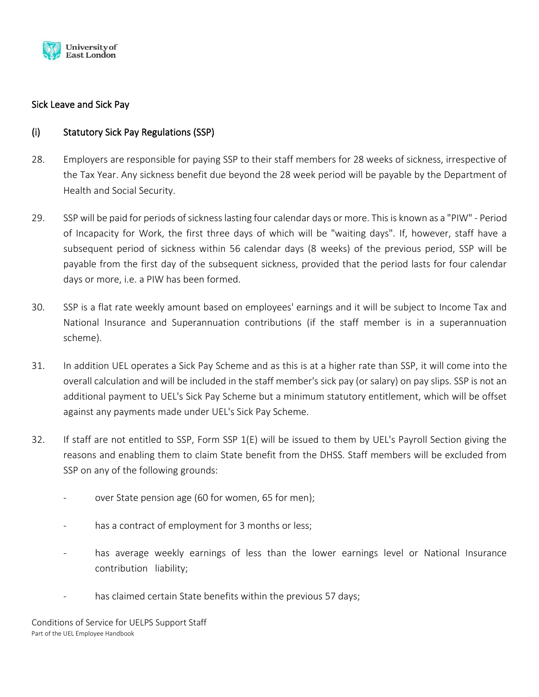

# Sick Leave and Sick Pay

# (i) Statutory Sick Pay Regulations (SSP)

- 28. Employers are responsible for paying SSP to their staff members for 28 weeks of sickness, irrespective of the Tax Year. Any sickness benefit due beyond the 28 week period will be payable by the Department of Health and Social Security.
- 29. SSP will be paid for periods of sickness lasting four calendar days or more. This is known as a "PIW" Period of Incapacity for Work, the first three days of which will be "waiting days". If, however, staff have a subsequent period of sickness within 56 calendar days (8 weeks) of the previous period, SSP will be payable from the first day of the subsequent sickness, provided that the period lasts for four calendar days or more, i.e. a PIW has been formed.
- 30. SSP is a flat rate weekly amount based on employees' earnings and it will be subject to Income Tax and National Insurance and Superannuation contributions (if the staff member is in a superannuation scheme).
- 31. In addition UEL operates a Sick Pay Scheme and as this is at a higher rate than SSP, it will come into the overall calculation and will be included in the staff member's sick pay (or salary) on pay slips. SSP is not an additional payment to UEL's Sick Pay Scheme but a minimum statutory entitlement, which will be offset against any payments made under UEL's Sick Pay Scheme.
- 32. If staff are not entitled to SSP, Form SSP 1(E) will be issued to them by UEL's Payroll Section giving the reasons and enabling them to claim State benefit from the DHSS. Staff members will be excluded from SSP on any of the following grounds:
	- over State pension age (60 for women, 65 for men);
	- has a contract of employment for 3 months or less;
	- has average weekly earnings of less than the lower earnings level or National Insurance contribution liability;
	- has claimed certain State benefits within the previous 57 days;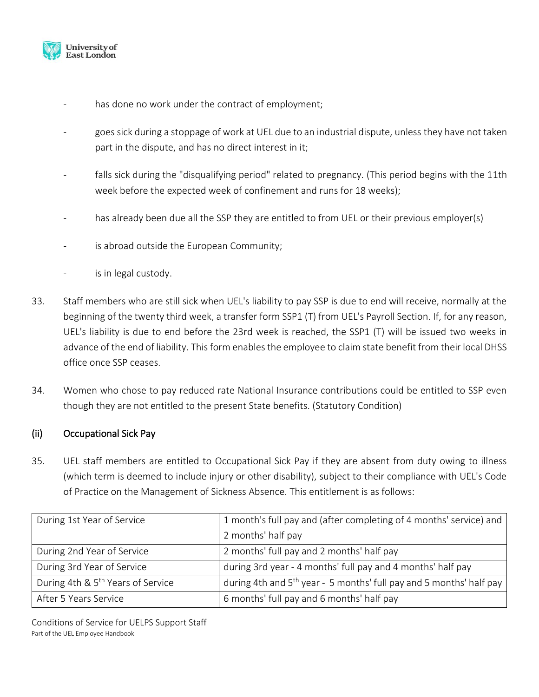

- has done no work under the contract of employment;
- goes sick during a stoppage of work at UEL due to an industrial dispute, unless they have not taken part in the dispute, and has no direct interest in it;
- falls sick during the "disqualifying period" related to pregnancy. (This period begins with the 11th week before the expected week of confinement and runs for 18 weeks);
- has already been due all the SSP they are entitled to from UEL or their previous employer(s)
- is abroad outside the European Community;
- is in legal custody.
- 33. Staff members who are still sick when UEL's liability to pay SSP is due to end will receive, normally at the beginning of the twenty third week, a transfer form SSP1 (T) from UEL's Payroll Section. If, for any reason, UEL's liability is due to end before the 23rd week is reached, the SSP1 (T) will be issued two weeks in advance of the end of liability. This form enables the employee to claim state benefit from their local DHSS office once SSP ceases.
- 34. Women who chose to pay reduced rate National Insurance contributions could be entitled to SSP even though they are not entitled to the present State benefits. (Statutory Condition)

# (ii) Occupational Sick Pay

35. UEL staff members are entitled to Occupational Sick Pay if they are absent from duty owing to illness (which term is deemed to include injury or other disability), subject to their compliance with UEL's Code of Practice on the Management of Sickness Absence. This entitlement is as follows:

| During 1st Year of Service                    | 1 month's full pay and (after completing of 4 months' service) and    |
|-----------------------------------------------|-----------------------------------------------------------------------|
|                                               | 2 months' half pay                                                    |
| During 2nd Year of Service                    | 2 months' full pay and 2 months' half pay                             |
| During 3rd Year of Service                    | during 3rd year - 4 months' full pay and 4 months' half pay           |
| During 4th & 5 <sup>th</sup> Years of Service | during 4th and $5th$ year - 5 months' full pay and 5 months' half pay |
| After 5 Years Service                         | 6 months' full pay and 6 months' half pay                             |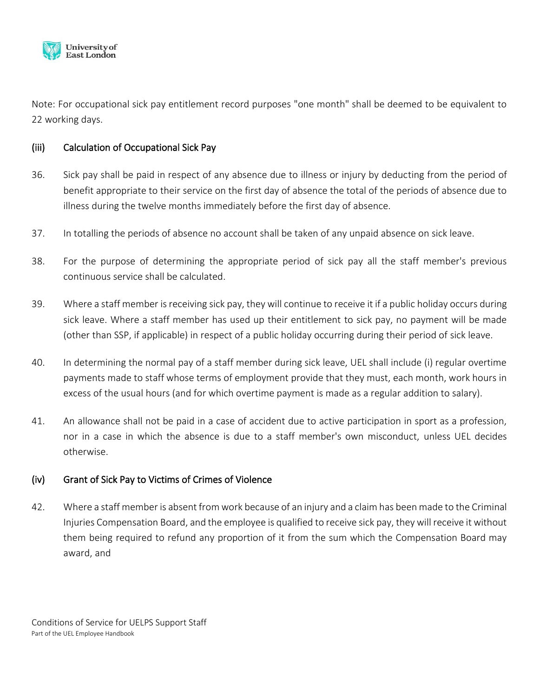

Note: For occupational sick pay entitlement record purposes "one month" shall be deemed to be equivalent to 22 working days.

### (iii) Calculation of Occupational Sick Pay

- 36. Sick pay shall be paid in respect of any absence due to illness or injury by deducting from the period of benefit appropriate to their service on the first day of absence the total of the periods of absence due to illness during the twelve months immediately before the first day of absence.
- 37. In totalling the periods of absence no account shall be taken of any unpaid absence on sick leave.
- 38. For the purpose of determining the appropriate period of sick pay all the staff member's previous continuous service shall be calculated.
- 39. Where a staff member is receiving sick pay, they will continue to receive it if a public holiday occurs during sick leave. Where a staff member has used up their entitlement to sick pay, no payment will be made (other than SSP, if applicable) in respect of a public holiday occurring during their period of sick leave.
- 40. In determining the normal pay of a staff member during sick leave, UEL shall include (i) regular overtime payments made to staff whose terms of employment provide that they must, each month, work hours in excess of the usual hours (and for which overtime payment is made as a regular addition to salary).
- 41. An allowance shall not be paid in a case of accident due to active participation in sport as a profession, nor in a case in which the absence is due to a staff member's own misconduct, unless UEL decides otherwise.

### (iv) Grant of Sick Pay to Victims of Crimes of Violence

42. Where a staff member is absent from work because of an injury and a claim has been made to the Criminal Injuries Compensation Board, and the employee is qualified to receive sick pay, they will receive it without them being required to refund any proportion of it from the sum which the Compensation Board may award, and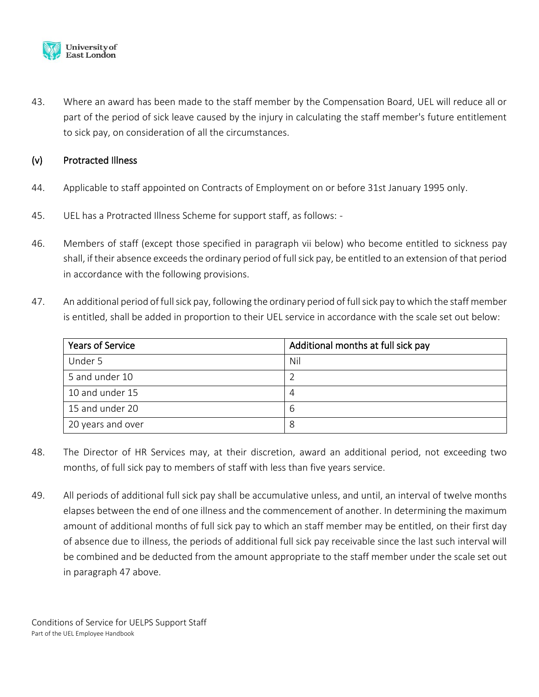

43. Where an award has been made to the staff member by the Compensation Board, UEL will reduce all or part of the period of sick leave caused by the injury in calculating the staff member's future entitlement to sick pay, on consideration of all the circumstances.

### (v) Protracted Illness

- 44. Applicable to staff appointed on Contracts of Employment on or before 31st January 1995 only.
- 45. UEL has a Protracted Illness Scheme for support staff, as follows: -
- 46. Members of staff (except those specified in paragraph vii below) who become entitled to sickness pay shall, if their absence exceeds the ordinary period of full sick pay, be entitled to an extension of that period in accordance with the following provisions.
- 47. An additional period of full sick pay, following the ordinary period of full sick pay to which the staff member is entitled, shall be added in proportion to their UEL service in accordance with the scale set out below:

| <b>Years of Service</b> | Additional months at full sick pay |
|-------------------------|------------------------------------|
| Under 5                 | Nil                                |
| 5 and under 10          |                                    |
| 10 and under 15         | 4                                  |
| 15 and under 20         | 6                                  |
| 20 years and over       | 8                                  |

- 48. The Director of HR Services may, at their discretion, award an additional period, not exceeding two months, of full sick pay to members of staff with less than five years service.
- 49. All periods of additional full sick pay shall be accumulative unless, and until, an interval of twelve months elapses between the end of one illness and the commencement of another. In determining the maximum amount of additional months of full sick pay to which an staff member may be entitled, on their first day of absence due to illness, the periods of additional full sick pay receivable since the last such interval will be combined and be deducted from the amount appropriate to the staff member under the scale set out in paragraph 47 above.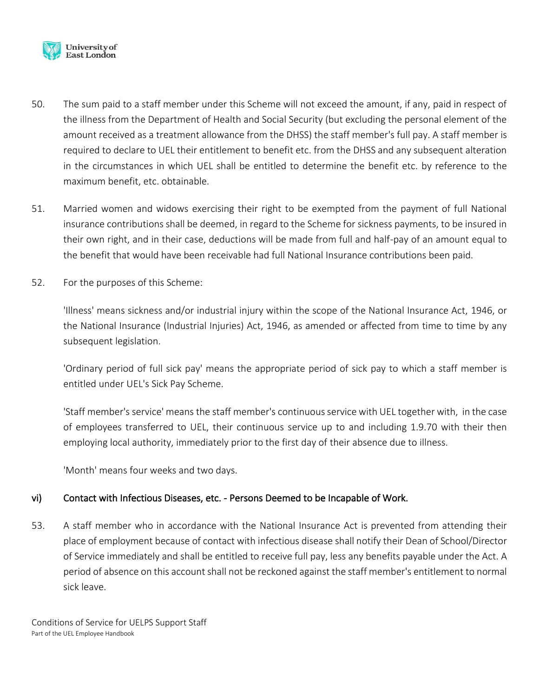

- 50. The sum paid to a staff member under this Scheme will not exceed the amount, if any, paid in respect of the illness from the Department of Health and Social Security (but excluding the personal element of the amount received as a treatment allowance from the DHSS) the staff member's full pay. A staff member is required to declare to UEL their entitlement to benefit etc. from the DHSS and any subsequent alteration in the circumstances in which UEL shall be entitled to determine the benefit etc. by reference to the maximum benefit, etc. obtainable.
- 51. Married women and widows exercising their right to be exempted from the payment of full National insurance contributions shall be deemed, in regard to the Scheme for sickness payments, to be insured in their own right, and in their case, deductions will be made from full and half-pay of an amount equal to the benefit that would have been receivable had full National Insurance contributions been paid.
- 52. For the purposes of this Scheme:

'Illness' means sickness and/or industrial injury within the scope of the National Insurance Act, 1946, or the National Insurance (Industrial Injuries) Act, 1946, as amended or affected from time to time by any subsequent legislation.

'Ordinary period of full sick pay' means the appropriate period of sick pay to which a staff member is entitled under UEL's Sick Pay Scheme.

'Staff member's service' means the staff member's continuous service with UEL together with, in the case of employees transferred to UEL, their continuous service up to and including 1.9.70 with their then employing local authority, immediately prior to the first day of their absence due to illness.

'Month' means four weeks and two days.

# vi) Contact with Infectious Diseases, etc. - Persons Deemed to be Incapable of Work.

53. A staff member who in accordance with the National Insurance Act is prevented from attending their place of employment because of contact with infectious disease shall notify their Dean of School/Director of Service immediately and shall be entitled to receive full pay, less any benefits payable under the Act. A period of absence on this account shall not be reckoned against the staff member's entitlement to normal sick leave.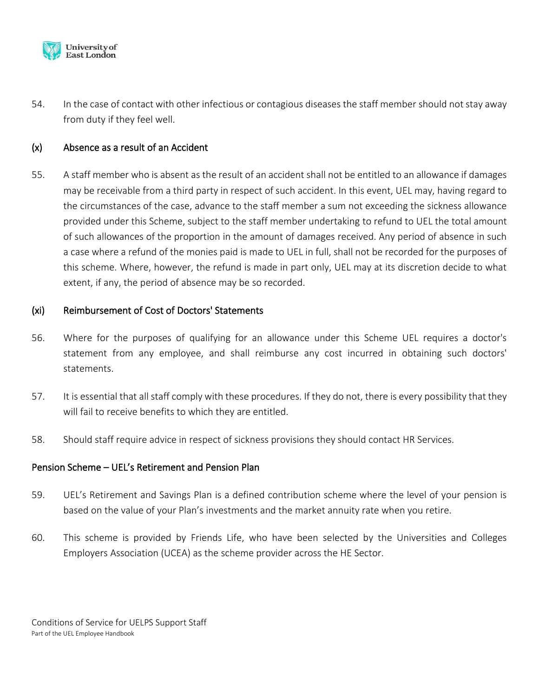

54. In the case of contact with other infectious or contagious diseases the staff member should not stay away from duty if they feel well.

### (x) Absence as a result of an Accident

55. A staff member who is absent as the result of an accident shall not be entitled to an allowance if damages may be receivable from a third party in respect of such accident. In this event, UEL may, having regard to the circumstances of the case, advance to the staff member a sum not exceeding the sickness allowance provided under this Scheme, subject to the staff member undertaking to refund to UEL the total amount of such allowances of the proportion in the amount of damages received. Any period of absence in such a case where a refund of the monies paid is made to UEL in full, shall not be recorded for the purposes of this scheme. Where, however, the refund is made in part only, UEL may at its discretion decide to what extent, if any, the period of absence may be so recorded.

### (xi) Reimbursement of Cost of Doctors' Statements

- 56. Where for the purposes of qualifying for an allowance under this Scheme UEL requires a doctor's statement from any employee, and shall reimburse any cost incurred in obtaining such doctors' statements.
- 57. It is essential that all staff comply with these procedures. If they do not, there is every possibility that they will fail to receive benefits to which they are entitled.
- 58. Should staff require advice in respect of sickness provisions they should contact HR Services.

### Pension Scheme – UEL's Retirement and Pension Plan

- 59. UEL's Retirement and Savings Plan is a defined contribution scheme where the level of your pension is based on the value of your Plan's investments and the market annuity rate when you retire.
- 60. This scheme is provided by Friends Life, who have been selected by the Universities and Colleges Employers Association (UCEA) as the scheme provider across the HE Sector.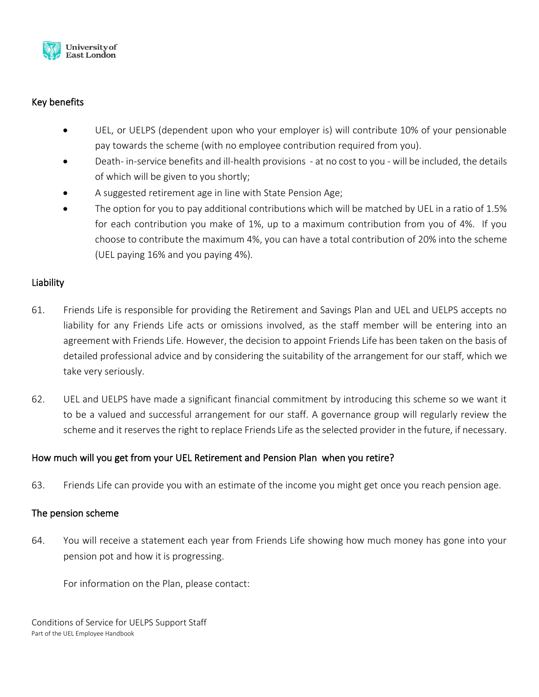

# Key benefits

- UEL, or UELPS (dependent upon who your employer is) will contribute 10% of your pensionable pay towards the scheme (with no employee contribution required from you).
- Death- in-service benefits and ill-health provisions at no cost to you will be included, the details of which will be given to you shortly;
- A suggested retirement age in line with State Pension Age;
- The option for you to pay additional contributions which will be matched by UEL in a ratio of 1.5% for each contribution you make of 1%, up to a maximum contribution from you of 4%. If you choose to contribute the maximum 4%, you can have a total contribution of 20% into the scheme (UEL paying 16% and you paying 4%).

### Liability

- 61. Friends Life is responsible for providing the Retirement and Savings Plan and UEL and UELPS accepts no liability for any Friends Life acts or omissions involved, as the staff member will be entering into an agreement with Friends Life. However, the decision to appoint Friends Life has been taken on the basis of detailed professional advice and by considering the suitability of the arrangement for our staff, which we take very seriously.
- 62. UEL and UELPS have made a significant financial commitment by introducing this scheme so we want it to be a valued and successful arrangement for our staff. A governance group will regularly review the scheme and it reserves the right to replace Friends Life as the selected provider in the future, if necessary.

### How much will you get from your UEL Retirement and Pension Plan when you retire?

63. Friends Life can provide you with an estimate of the income you might get once you reach pension age.

### The pension scheme

64. You will receive a statement each year from Friends Life showing how much money has gone into your pension pot and how it is progressing.

For information on the Plan, please contact: